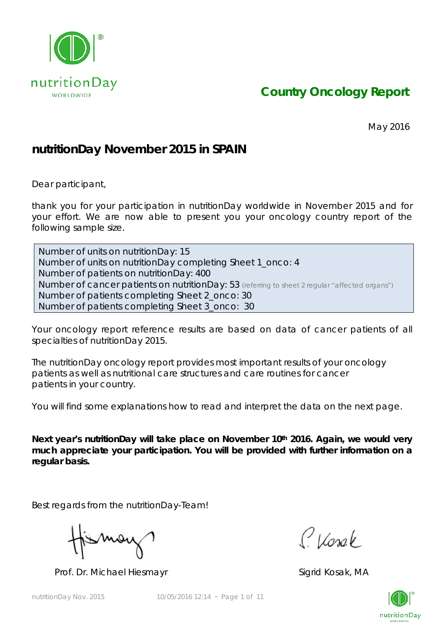

*Country Oncology Report*

May 2016

## **nutritionDay November 2015 in SPAIN**

Dear participant,

thank you for your participation in nutritionDay worldwide in November 2015 and for your effort. We are now able to present you your oncology country report of the following sample size.

Number of units on nutritionDay: 15 Number of units on nutritionDay completing Sheet 1\_onco: 4 Number of patients on nutritionDay: 400 Number of cancer patients on nutritionDay: 53 *(referring to sheet 2 regular "affected organs")* Number of patients completing Sheet 2\_onco: 30 Number of patients completing Sheet 3\_onco: 30

Your oncology report reference results are based on data of cancer patients of all specialties of nutritionDay 2015.

The nutritionDay oncology report provides most important results of your oncology patients as well as nutritional care structures and care routines for cancer patients in your country.

You will find some explanations how to read and interpret the data on the next page.

Next year's nutritionDay will take place on November 10<sup>th</sup> 2016. Again, we would very **much appreciate your participation. You will be provided with further information on a regular basis.** 

Best regards from the nutritionDay-Team!

Mov

Prof. Dr. Michael Hiesmayr Sigrid Kosak, MA

Classe

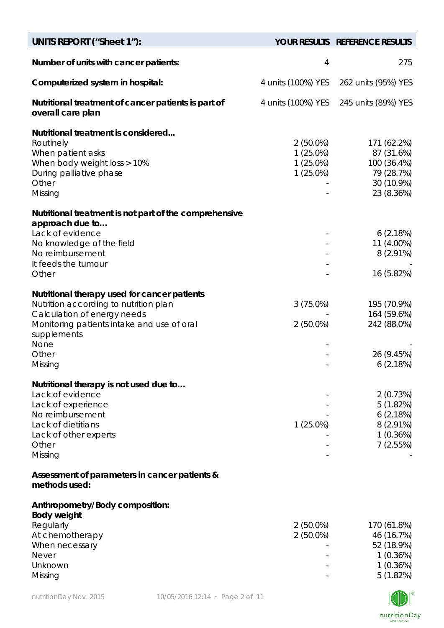| <b>UNITS REPORT ("Sheet 1"):</b>                                                                                                                                                          |                                                        | YOUR RESULTS REFERENCE RESULTS                                                     |
|-------------------------------------------------------------------------------------------------------------------------------------------------------------------------------------------|--------------------------------------------------------|------------------------------------------------------------------------------------|
| Number of units with cancer patients:                                                                                                                                                     | 4                                                      | 275                                                                                |
| Computerized system in hospital:                                                                                                                                                          | 4 units (100%) YES                                     | 262 units (95%) YES                                                                |
| Nutritional treatment of cancer patients is part of<br>overall care plan                                                                                                                  | 4 units (100%) YES                                     | 245 units (89%) YES                                                                |
| Nutritional treatment is considered<br>Routinely<br>When patient asks<br>When body weight loss > 10%<br>During palliative phase<br>Other<br>Missing                                       | $2(50.0\%)$<br>$1(25.0\%)$<br>1 (25.0%)<br>$1(25.0\%)$ | 171 (62.2%)<br>87 (31.6%)<br>100 (36.4%)<br>79 (28.7%)<br>30 (10.9%)<br>23 (8.36%) |
| Nutritional treatment is not part of the comprehensive<br>approach due to                                                                                                                 |                                                        |                                                                                    |
| Lack of evidence<br>No knowledge of the field<br>No reimbursement<br>It feeds the tumour                                                                                                  |                                                        | 6(2.18%)<br>11 (4.00%)<br>$8(2.91\%)$                                              |
| Other                                                                                                                                                                                     |                                                        | 16 (5.82%)                                                                         |
| Nutritional therapy used for cancer patients<br>Nutrition according to nutrition plan<br>Calculation of energy needs<br>Monitoring patients intake and use of oral<br>supplements<br>None | $3(75.0\%)$<br>$2(50.0\%)$                             | 195 (70.9%)<br>164 (59.6%)<br>242 (88.0%)                                          |
| Other<br>Missing                                                                                                                                                                          |                                                        | 26 (9.45%)<br>6(2.18%)                                                             |
| Nutritional therapy is not used due to<br>Lack of evidence<br>Lack of experience<br>No reimbursement<br>Lack of dietitians<br>Lack of other experts<br>Other<br>Missing                   | $1(25.0\%)$                                            | 2(0.73%)<br>5(1.82%)<br>6(2.18%)<br>$8(2.91\%)$<br>1(0.36%)<br>7(2.55%)            |
| Assessment of parameters in cancer patients &<br>methods used:                                                                                                                            |                                                        |                                                                                    |
| Anthropometry/Body composition:<br><b>Body weight</b><br>Regularly<br>At chemotherapy<br>When necessary<br><b>Never</b><br>Unknown<br>Missing                                             | 2 (50.0%)<br>$2(50.0\%)$                               | 170 (61.8%)<br>46 (16.7%)<br>52 (18.9%)<br>1(0.36%)<br>1(0.36%)<br>5(1.82%)        |

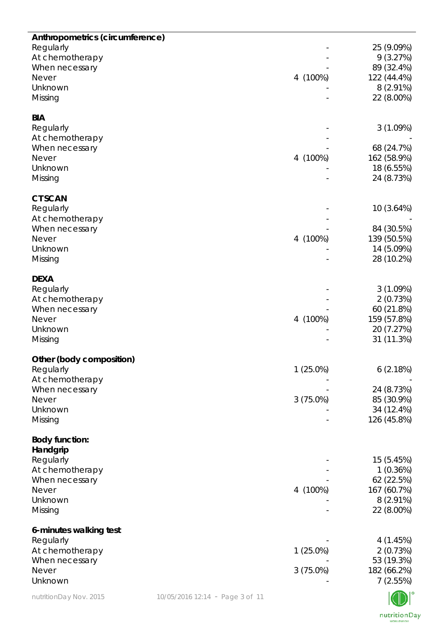| Anthropometrics (circumference) |                                 |             |                           |
|---------------------------------|---------------------------------|-------------|---------------------------|
| Regularly                       |                                 |             | 25 (9.09%)                |
| At chemotherapy                 |                                 |             | 9(3.27%)                  |
| When necessary                  |                                 |             | 89 (32.4%)                |
| <b>Never</b>                    |                                 | 4 (100%)    | 122 (44.4%)               |
| Unknown                         |                                 |             | $8(2.91\%)$               |
| Missing                         |                                 |             | 22 (8.00%)                |
| <b>BIA</b>                      |                                 |             |                           |
| Regularly                       |                                 |             | 3(1.09%)                  |
| At chemotherapy                 |                                 |             |                           |
| When necessary                  |                                 |             | 68 (24.7%)                |
| <b>Never</b>                    |                                 | 4 (100%)    | 162 (58.9%)               |
| Unknown                         |                                 |             | 18 (6.55%)                |
| Missing                         |                                 |             | 24 (8.73%)                |
|                                 |                                 |             |                           |
| <b>CT SCAN</b><br>Regularly     |                                 |             | 10 (3.64%)                |
| At chemotherapy                 |                                 |             |                           |
| When necessary                  |                                 |             | 84 (30.5%)                |
| <b>Never</b>                    |                                 | 4 (100%)    | 139 (50.5%)               |
| Unknown                         |                                 |             | 14 (5.09%)                |
| Missing                         |                                 |             | 28 (10.2%)                |
|                                 |                                 |             |                           |
| <b>DEXA</b>                     |                                 |             |                           |
| Regularly                       |                                 |             | 3(1.09%)                  |
| At chemotherapy                 |                                 |             | 2(0.73%)                  |
| When necessary                  |                                 |             | 60 (21.8%)                |
| <b>Never</b>                    |                                 | 4 (100%)    | 159 (57.8%)               |
| Unknown                         |                                 |             | 20 (7.27%)                |
| Missing                         |                                 |             | 31 (11.3%)                |
| Other (body composition)        |                                 |             |                           |
| Regularly                       |                                 | 1 (25.0%)   | 6(2.18%)                  |
| At chemotherapy                 |                                 |             |                           |
| When necessary                  |                                 |             | 24 (8.73%)                |
| <b>Never</b>                    |                                 | 3(75.0%)    | 85 (30.9%)                |
| Unknown                         |                                 |             | 34 (12.4%)                |
| Missing                         |                                 |             | 126 (45.8%)               |
|                                 |                                 |             |                           |
| <b>Body function:</b>           |                                 |             |                           |
| Handgrip                        |                                 |             |                           |
| Regularly                       |                                 |             | 15 (5.45%)                |
| At chemotherapy                 |                                 |             | 1(0.36%)                  |
| When necessary<br><b>Never</b>  |                                 |             | 62 (22.5%)                |
| Unknown                         |                                 | 4 (100%)    | 167 (60.7%)               |
| Missing                         |                                 |             | $8(2.91\%)$<br>22 (8.00%) |
|                                 |                                 |             |                           |
| 6-minutes walking test          |                                 |             |                           |
| Regularly                       |                                 |             | 4 (1.45%)                 |
| At chemotherapy                 |                                 | $1(25.0\%)$ | 2(0.73%)                  |
| When necessary                  |                                 |             | 53 (19.3%)                |
| <b>Never</b>                    |                                 | $3(75.0\%)$ | 182 (66.2%)               |
| Unknown                         |                                 |             | 7(2.55%)                  |
| nutritionDay Nov. 2015          | 10/05/2016 12:14 - Page 3 of 11 |             |                           |

NDI nutritionDay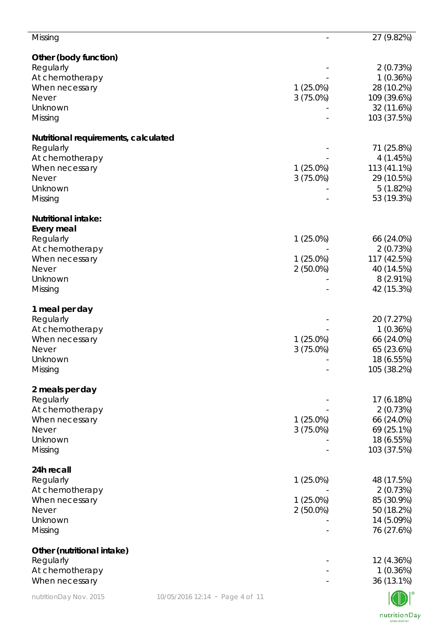| Missing                                                   |             | 27 (9.82%)                |
|-----------------------------------------------------------|-------------|---------------------------|
| Other (body function)                                     |             |                           |
| Regularly                                                 |             | 2(0.73%)                  |
| At chemotherapy                                           |             | 1(0.36%)                  |
| When necessary                                            | $1(25.0\%)$ | 28 (10.2%)                |
| <b>Never</b>                                              | $3(75.0\%)$ | 109 (39.6%)               |
| Unknown                                                   |             | 32 (11.6%)                |
| Missing                                                   |             | 103 (37.5%)               |
| Nutritional requirements, calculated                      |             |                           |
| Regularly                                                 |             | 71 (25.8%)                |
| At chemotherapy                                           |             | 4(1.45%)                  |
| When necessary                                            | $1(25.0\%)$ | 113 (41.1%)               |
| <b>Never</b>                                              | 3(75.0%)    | 29 (10.5%)                |
| Unknown<br>Missing                                        |             | 5(1.82%)<br>53 (19.3%)    |
|                                                           |             |                           |
| <b>Nutritional intake:</b>                                |             |                           |
| Every meal                                                |             |                           |
| Regularly                                                 | $1(25.0\%)$ | 66 (24.0%)                |
| At chemotherapy                                           |             | 2(0.73%)                  |
| When necessary                                            | $1(25.0\%)$ | 117 (42.5%)               |
| Never                                                     | $2(50.0\%)$ | 40 (14.5%)                |
| Unknown<br>Missing                                        |             | $8(2.91\%)$<br>42 (15.3%) |
|                                                           |             |                           |
| 1 meal per day                                            |             |                           |
| Regularly                                                 |             | 20 (7.27%)                |
| At chemotherapy                                           |             | 1(0.36%)                  |
| When necessary                                            | $1(25.0\%)$ | 66 (24.0%)                |
| <b>Never</b>                                              | $3(75.0\%)$ | 65 (23.6%)                |
| Unknown                                                   |             | 18 (6.55%)                |
| Missing                                                   |             | 105 (38.2%)               |
| 2 meals per day                                           |             |                           |
| Regularly                                                 |             | 17 (6.18%)                |
| At chemotherapy                                           |             | 2(0.73%)                  |
| When necessary                                            | $1(25.0\%)$ | 66 (24.0%)                |
| <b>Never</b>                                              | 3(75.0%)    | 69 (25.1%)                |
| Unknown                                                   |             | 18 (6.55%)                |
| Missing                                                   |             | 103 (37.5%)               |
| 24h recall                                                |             |                           |
| Regularly                                                 | $1(25.0\%)$ | 48 (17.5%)                |
| At chemotherapy                                           |             | 2(0.73%)                  |
| When necessary                                            | $1(25.0\%)$ | 85 (30.9%)                |
| <b>Never</b>                                              | $2(50.0\%)$ | 50 (18.2%)                |
| Unknown                                                   |             | 14 (5.09%)                |
| Missing                                                   |             | 76 (27.6%)                |
| Other (nutritional intake)                                |             |                           |
| Regularly                                                 |             | 12 (4.36%)                |
| At chemotherapy                                           |             | 1(0.36%)                  |
| When necessary                                            |             | 36 (13.1%)                |
| nutritionDay Nov. 2015<br>10/05/2016 12:14 - Page 4 of 11 |             |                           |

nutritionDay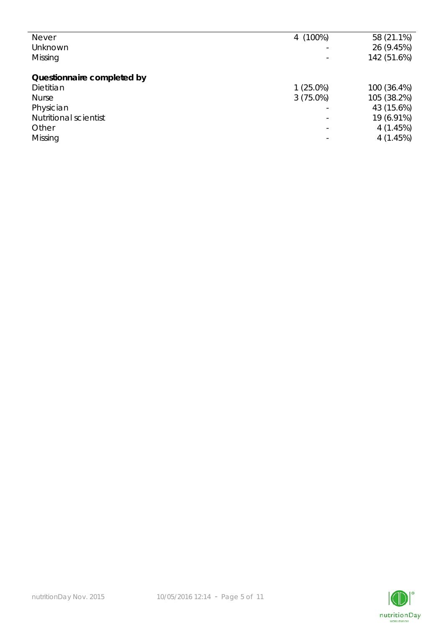| <b>Never</b>                 | 4 (100%)    | 58 (21.1%)  |
|------------------------------|-------------|-------------|
| Unknown                      |             | 26 (9.45%)  |
| Missing                      |             | 142 (51.6%) |
|                              |             |             |
| Questionnaire completed by   |             |             |
| Dietitian                    | $1(25.0\%)$ | 100 (36.4%) |
| <b>Nurse</b>                 | $3(75.0\%)$ | 105 (38.2%) |
| Physician                    |             | 43 (15.6%)  |
| <b>Nutritional scientist</b> |             | 19 (6.91%)  |
| Other                        |             | 4(1.45%)    |
| Missing                      |             | 4(1.45%)    |
|                              |             |             |

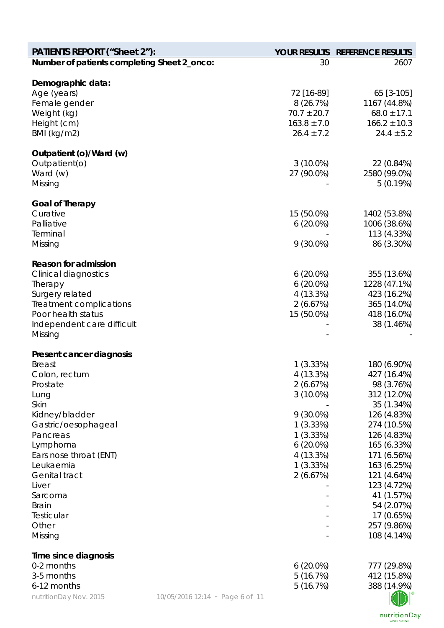| <b>PATIENTS REPORT ("Sheet 2"):</b>         |                                 |                             | YOUR RESULTS REFERENCE RESULTS  |
|---------------------------------------------|---------------------------------|-----------------------------|---------------------------------|
| Number of patients completing Sheet 2_onco: |                                 | 30                          | 2607                            |
|                                             |                                 |                             |                                 |
| Demographic data:                           |                                 |                             |                                 |
| Age (years)                                 |                                 | 72 [16-89]                  | 65 [3-105]                      |
| Female gender                               |                                 | 8(26.7%)<br>$70.7 \pm 20.7$ | 1167 (44.8%)<br>$68.0 \pm 17.1$ |
| Weight (kg)                                 |                                 | $163.8 \pm 7.0$             | $166.2 \pm 10.3$                |
| Height (cm)<br>BMI (kg/m2)                  |                                 | $26.4 \pm 7.2$              | $24.4 \pm 5.2$                  |
|                                             |                                 |                             |                                 |
| Outpatient (o)/Ward (w)                     |                                 |                             |                                 |
| Outpatient(o)                               |                                 | $3(10.0\%)$                 | 22 (0.84%)                      |
| Ward (w)                                    |                                 | 27 (90.0%)                  | 2580 (99.0%)                    |
| Missing                                     |                                 |                             | 5(0.19%)                        |
|                                             |                                 |                             |                                 |
| <b>Goal of Therapy</b>                      |                                 |                             |                                 |
| Curative                                    |                                 | 15 (50.0%)                  | 1402 (53.8%)                    |
| Palliative                                  |                                 | $6(20.0\%)$                 | 1006 (38.6%)                    |
| Terminal                                    |                                 |                             | 113 (4.33%)                     |
| Missing                                     |                                 | $9(30.0\%)$                 | 86 (3.30%)                      |
| <b>Reason for admission</b>                 |                                 |                             |                                 |
| <b>Clinical diagnostics</b>                 |                                 | $6(20.0\%)$                 | 355 (13.6%)                     |
| Therapy                                     |                                 | $6(20.0\%)$                 | 1228 (47.1%)                    |
| Surgery related                             |                                 | 4 (13.3%)                   | 423 (16.2%)                     |
| Treatment complications                     |                                 | 2(6.67%)                    | 365 (14.0%)                     |
| Poor health status                          |                                 | 15 (50.0%)                  | 418 (16.0%)                     |
| Independent care difficult                  |                                 |                             | 38 (1.46%)                      |
| Missing                                     |                                 |                             |                                 |
| Present cancer diagnosis                    |                                 |                             |                                 |
| <b>Breast</b>                               |                                 | 1(3.33%)                    | 180 (6.90%)                     |
| Colon, rectum                               |                                 | 4 (13.3%)                   | 427 (16.4%)                     |
| Prostate                                    |                                 | 2(6.67%)                    | 98 (3.76%)                      |
| Lung                                        |                                 | $3(10.0\%)$                 | 312 (12.0%)                     |
| Skin                                        |                                 |                             | 35 (1.34%)                      |
| Kidney/bladder                              |                                 | $9(30.0\%)$                 | 126 (4.83%)                     |
| Gastric/oesophageal                         |                                 | 1(3.33%)                    | 274 (10.5%)                     |
| Pancreas                                    |                                 | 1(3.33%)                    | 126 (4.83%)                     |
| Lymphoma                                    |                                 | $6(20.0\%)$                 | 165 (6.33%)                     |
| Ears nose throat (ENT)                      |                                 | 4 (13.3%)                   | 171 (6.56%)                     |
| Leukaemia                                   |                                 | 1(3.33%)                    | 163 (6.25%)                     |
| <b>Genital tract</b>                        |                                 | 2(6.67%)                    | 121 (4.64%)                     |
| Liver                                       |                                 |                             | 123 (4.72%)                     |
| Sarcoma                                     |                                 |                             | 41 (1.57%)                      |
| <b>Brain</b>                                |                                 |                             | 54 (2.07%)                      |
| Testicular                                  |                                 |                             | 17 (0.65%)                      |
| Other                                       |                                 |                             | 257 (9.86%)                     |
| Missing                                     |                                 |                             | 108 (4.14%)                     |
| Time since diagnosis                        |                                 |                             |                                 |
| 0-2 months                                  |                                 | $6(20.0\%)$                 | 777 (29.8%)                     |
| 3-5 months                                  |                                 | 5(16.7%)                    | 412 (15.8%)                     |
| 6-12 months                                 |                                 | 5(16.7%)                    | 388 (14.9%)                     |
| nutritionDay Nov. 2015                      | 10/05/2016 12:14 - Page 6 of 11 |                             |                                 |
|                                             |                                 |                             |                                 |

nutritionDay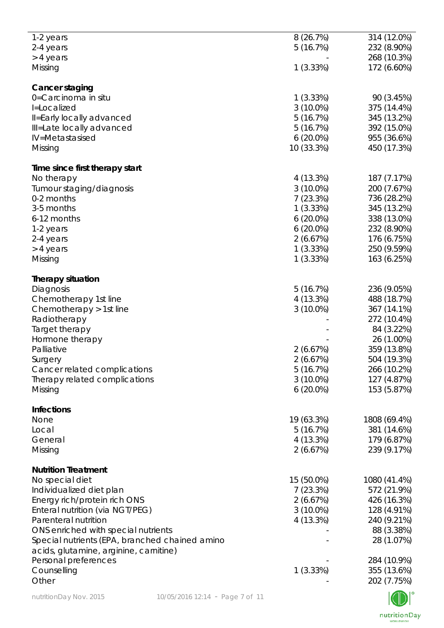| 1-2 years                                                                                |                                 | 8(26.7%)                | 314 (12.0%)               |
|------------------------------------------------------------------------------------------|---------------------------------|-------------------------|---------------------------|
| 2-4 years                                                                                |                                 | 5(16.7%)                | 232 (8.90%)               |
| > 4 years                                                                                |                                 |                         | 268 (10.3%)               |
| Missing                                                                                  |                                 | 1(3.33%)                | 172 (6.60%)               |
|                                                                                          |                                 |                         |                           |
| Cancer staging<br>0=Carcinoma in situ                                                    |                                 | 1(3.33%)                | 90 (3.45%)                |
| I=Localized                                                                              |                                 | $3(10.0\%)$             | 375 (14.4%)               |
| Il=Early locally advanced                                                                |                                 | 5(16.7%)                | 345 (13.2%)               |
| Ill=Late locally advanced                                                                |                                 | 5(16.7%)                | 392 (15.0%)               |
| IV=Metastasised                                                                          |                                 | $6(20.0\%)$             | 955 (36.6%)               |
| Missing                                                                                  |                                 | 10 (33.3%)              | 450 (17.3%)               |
|                                                                                          |                                 |                         |                           |
| Time since first therapy start                                                           |                                 |                         |                           |
| No therapy                                                                               |                                 | 4 (13.3%)               | 187 (7.17%)               |
| Tumour staging/diagnosis                                                                 |                                 | $3(10.0\%)$             | 200 (7.67%)               |
| 0-2 months                                                                               |                                 | 7(23.3%)                | 736 (28.2%)               |
| 3-5 months                                                                               |                                 | 1(3.33%)                | 345 (13.2%)               |
| 6-12 months                                                                              |                                 | $6(20.0\%)$             | 338 (13.0%)               |
| 1-2 years                                                                                |                                 | $6(20.0\%)$             | 232 (8.90%)               |
| 2-4 years                                                                                |                                 | 2(6.67%)                | 176 (6.75%)               |
| > 4 years                                                                                |                                 | 1(3.33%)                | 250 (9.59%)               |
| Missing                                                                                  |                                 | 1(3.33%)                | 163 (6.25%)               |
| <b>Therapy situation</b>                                                                 |                                 |                         |                           |
| Diagnosis                                                                                |                                 | 5(16.7%)                | 236 (9.05%)               |
| Chemotherapy 1st line                                                                    |                                 | 4 (13.3%)               | 488 (18.7%)               |
| Chemotherapy > 1st line                                                                  |                                 | $3(10.0\%)$             | 367 (14.1%)               |
| Radiotherapy                                                                             |                                 |                         | 272 (10.4%)               |
| Target therapy                                                                           |                                 |                         | 84 (3.22%)                |
| Hormone therapy                                                                          |                                 |                         | 26 (1.00%)                |
| Palliative                                                                               |                                 | 2(6.67%)                | 359 (13.8%)               |
| Surgery                                                                                  |                                 | 2(6.67%)                | 504 (19.3%)               |
| Cancer related complications                                                             |                                 | 5(16.7%)                | 266 (10.2%)               |
| Therapy related complications                                                            |                                 | $3(10.0\%)$             | 127 (4.87%)               |
| Missing                                                                                  |                                 | $6(20.0\%)$             | 153 (5.87%)               |
| <b>Infections</b>                                                                        |                                 |                         |                           |
| None                                                                                     |                                 | 19 (63.3%)              | 1808 (69.4%)              |
| Local                                                                                    |                                 | 5(16.7%)                | 381 (14.6%)               |
| General                                                                                  |                                 | 4(13.3%)                | 179 (6.87%)               |
| Missing                                                                                  |                                 | 2(6.67%)                | 239 (9.17%)               |
|                                                                                          |                                 |                         |                           |
| <b>Nutrition Treatment</b>                                                               |                                 |                         |                           |
| No special diet                                                                          |                                 | 15 (50.0%)              | 1080 (41.4%)              |
| Individualized diet plan                                                                 |                                 | 7(23.3%)                | 572 (21.9%)               |
| Energy rich/protein rich ONS<br>Enteral nutrition (via NGT/PEG)                          |                                 | 2(6.67%)<br>$3(10.0\%)$ | 426 (16.3%)               |
| Parenteral nutrition                                                                     |                                 | 4 (13.3%)               | 128 (4.91%)               |
| ONS enriched with special nutrients                                                      |                                 |                         | 240 (9.21%)<br>88 (3.38%) |
|                                                                                          |                                 |                         | 28 (1.07%)                |
| Special nutrients (EPA, branched chained amino<br>acids, glutamine, arginine, carnitine) |                                 |                         |                           |
| Personal preferences                                                                     |                                 |                         | 284 (10.9%)               |
| Counselling                                                                              |                                 | 1(3.33%)                | 355 (13.6%)               |
| Other                                                                                    |                                 |                         | 202 (7.75%)               |
|                                                                                          |                                 |                         |                           |
| nutritionDay Nov. 2015                                                                   | 10/05/2016 12:14 - Page 7 of 11 |                         |                           |

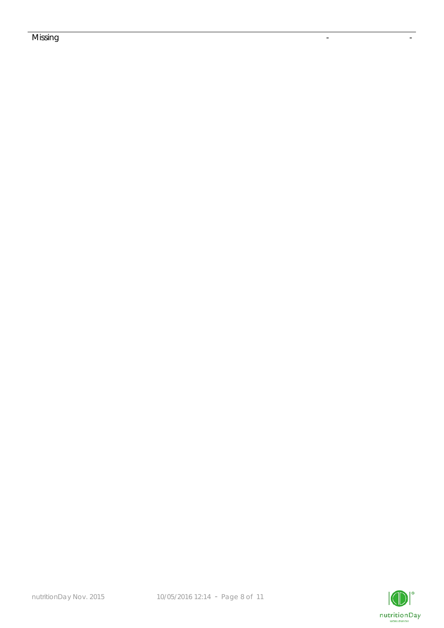## Missing the contract of the contract of the contract of the contract of the contract of the contract of the co

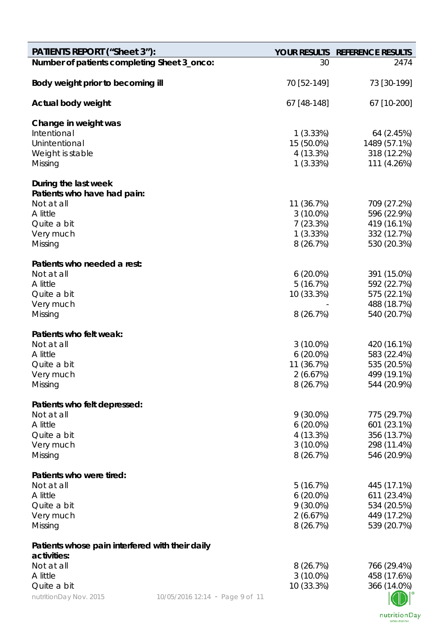| <b>PATIENTS REPORT ("Sheet 3"):</b>             |                                 |             | YOUR RESULTS REFERENCE RESULTS |
|-------------------------------------------------|---------------------------------|-------------|--------------------------------|
| Number of patients completing Sheet 3_onco:     |                                 | 30          | 2474                           |
| Body weight prior to becoming ill               |                                 | 70 [52-149] | 73 [30-199]                    |
| Actual body weight                              |                                 | 67 [48-148] | 67 [10-200]                    |
| Change in weight was                            |                                 |             |                                |
| Intentional                                     |                                 | 1(3.33%)    | 64 (2.45%)                     |
| Unintentional                                   |                                 | 15 (50.0%)  | 1489 (57.1%)                   |
| Weight is stable                                |                                 | 4 (13.3%)   | 318 (12.2%)                    |
| Missing                                         |                                 | 1(3.33%)    | 111 (4.26%)                    |
| During the last week                            |                                 |             |                                |
| Patients who have had pain:                     |                                 |             |                                |
| Not at all                                      |                                 | 11 (36.7%)  | 709 (27.2%)                    |
| A little                                        |                                 | $3(10.0\%)$ | 596 (22.9%)                    |
| Quite a bit                                     |                                 | 7(23.3%)    | 419 (16.1%)                    |
| Very much                                       |                                 | 1(3.33%)    | 332 (12.7%)                    |
| Missing                                         |                                 | 8 (26.7%)   | 530 (20.3%)                    |
| Patients who needed a rest:                     |                                 |             |                                |
| Not at all                                      |                                 | $6(20.0\%)$ | 391 (15.0%)                    |
| A little                                        |                                 | 5(16.7%)    | 592 (22.7%)                    |
| Quite a bit                                     |                                 | 10 (33.3%)  | 575 (22.1%)                    |
| Very much                                       |                                 |             | 488 (18.7%)                    |
| Missing                                         |                                 | 8(26.7%)    | 540 (20.7%)                    |
| Patients who felt weak:                         |                                 |             |                                |
| Not at all                                      |                                 | $3(10.0\%)$ | 420 (16.1%)                    |
| A little                                        |                                 | $6(20.0\%)$ | 583 (22.4%)                    |
| Quite a bit                                     |                                 | 11 (36.7%)  | 535 (20.5%)                    |
| Very much                                       |                                 | 2(6.67%)    | 499 (19.1%)                    |
| Missing                                         |                                 | 8(26.7%)    | 544 (20.9%)                    |
| Patients who felt depressed:                    |                                 |             |                                |
| Not at all                                      |                                 | $9(30.0\%)$ | 775 (29.7%)                    |
| A little                                        |                                 | $6(20.0\%)$ | 601 (23.1%)                    |
| Quite a bit                                     |                                 | 4 (13.3%)   | 356 (13.7%)                    |
| Very much                                       |                                 | $3(10.0\%)$ | 298 (11.4%)                    |
| Missing                                         |                                 | 8(26.7%)    | 546 (20.9%)                    |
| Patients who were tired:                        |                                 |             |                                |
| Not at all                                      |                                 | 5(16.7%)    | 445 (17.1%)                    |
| A little                                        |                                 | $6(20.0\%)$ | 611 (23.4%)                    |
| Quite a bit                                     |                                 | $9(30.0\%)$ | 534 (20.5%)                    |
| Very much                                       |                                 | 2(6.67%)    | 449 (17.2%)                    |
| Missing                                         |                                 | 8(26.7%)    | 539 (20.7%)                    |
| Patients whose pain interfered with their daily |                                 |             |                                |
| activities:                                     |                                 |             |                                |
| Not at all                                      |                                 | 8(26.7%)    | 766 (29.4%)                    |
| A little                                        |                                 | $3(10.0\%)$ | 458 (17.6%)                    |
| Quite a bit                                     |                                 | 10 (33.3%)  | 366 (14.0%)                    |
| nutritionDay Nov. 2015                          | 10/05/2016 12:14 - Page 9 of 11 |             |                                |

nutritionDay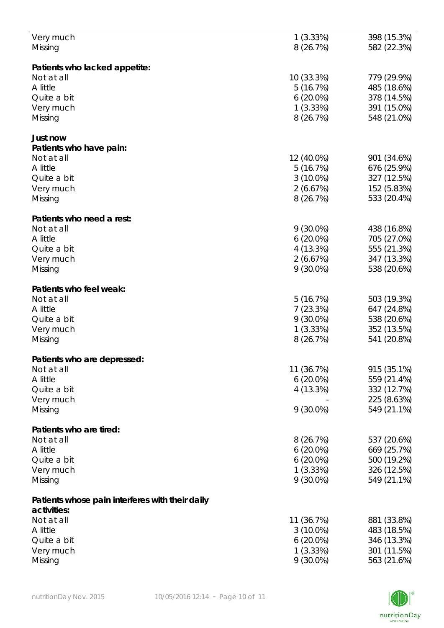| Very much                                       | 1(3.33%)    | 398 (15.3%) |
|-------------------------------------------------|-------------|-------------|
|                                                 | 8(26.7%)    |             |
| Missing                                         |             | 582 (22.3%) |
|                                                 |             |             |
| Patients who lacked appetite:                   |             |             |
| Not at all                                      | 10 (33.3%)  | 779 (29.9%) |
|                                                 |             |             |
| A little                                        | 5(16.7%)    | 485 (18.6%) |
| Quite a bit                                     | $6(20.0\%)$ | 378 (14.5%) |
| Very much                                       | 1(3.33%)    | 391 (15.0%) |
| Missing                                         | 8(26.7%)    | 548 (21.0%) |
|                                                 |             |             |
|                                                 |             |             |
| Just now                                        |             |             |
| Patients who have pain:                         |             |             |
| Not at all                                      | 12 (40.0%)  | 901 (34.6%) |
|                                                 |             |             |
| A little                                        | 5(16.7%)    | 676 (25.9%) |
| Quite a bit                                     | $3(10.0\%)$ | 327 (12.5%) |
| Very much                                       | 2(6.67%)    | 152 (5.83%) |
|                                                 | 8 (26.7%)   | 533 (20.4%) |
| Missing                                         |             |             |
|                                                 |             |             |
| Patients who need a rest:                       |             |             |
| Not at all                                      | $9(30.0\%)$ | 438 (16.8%) |
| A little                                        | $6(20.0\%)$ | 705 (27.0%) |
|                                                 |             |             |
| Quite a bit                                     | 4(13.3%)    | 555 (21.3%) |
| Very much                                       | 2(6.67%)    | 347 (13.3%) |
| Missing                                         | $9(30.0\%)$ | 538 (20.6%) |
|                                                 |             |             |
|                                                 |             |             |
| Patients who feel weak:                         |             |             |
| Not at all                                      | 5(16.7%)    | 503 (19.3%) |
| A little                                        | 7(23.3%)    | 647 (24.8%) |
| Quite a bit                                     | $9(30.0\%)$ | 538 (20.6%) |
|                                                 |             |             |
| Very much                                       | 1(3.33%)    | 352 (13.5%) |
| Missing                                         | 8(26.7%)    | 541 (20.8%) |
|                                                 |             |             |
| Patients who are depressed:                     |             |             |
|                                                 |             |             |
| Not at all                                      | 11 (36.7%)  | 915 (35.1%) |
| A little                                        | $6(20.0\%)$ | 559 (21.4%) |
| Quite a bit                                     | 4(13.3%)    | 332 (12.7%) |
| Very much                                       |             | 225 (8.63%) |
|                                                 |             |             |
| Missing                                         | $9(30.0\%)$ | 549 (21.1%) |
|                                                 |             |             |
| Patients who are tired:                         |             |             |
| Not at all                                      | 8(26.7%)    | 537 (20.6%) |
|                                                 |             |             |
| A little                                        | $6(20.0\%)$ | 669 (25.7%) |
| Quite a bit                                     | $6(20.0\%)$ | 500 (19.2%) |
| Very much                                       | 1(3.33%)    | 326 (12.5%) |
| Missing                                         | $9(30.0\%)$ | 549 (21.1%) |
|                                                 |             |             |
|                                                 |             |             |
| Patients whose pain interferes with their daily |             |             |
| activities:                                     |             |             |
| Not at all                                      | 11 (36.7%)  | 881 (33.8%) |
|                                                 |             |             |
| A little                                        | $3(10.0\%)$ | 483 (18.5%) |
| Quite a bit                                     | $6(20.0\%)$ | 346 (13.3%) |
| Very much                                       | 1(3.33%)    | 301 (11.5%) |
| Missing                                         | $9(30.0\%)$ | 563 (21.6%) |
|                                                 |             |             |